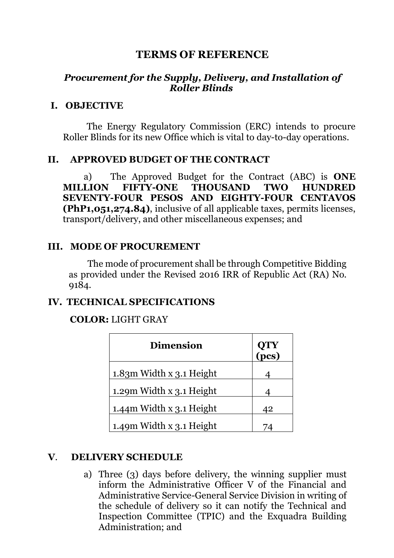# **TERMS OF REFERENCE**

### *Procurement for the Supply, Delivery, and Installation of Roller Blinds*

#### **I. OBJECTIVE**

The Energy Regulatory Commission (ERC) intends to procure Roller Blinds for its new Office which is vital to day-to-day operations.

#### **II. APPROVED BUDGET OF THE CONTRACT**

a) The Approved Budget for the Contract (ABC) is **ONE MILLION FIFTY-ONE THOUSAND TWO HUNDRED SEVENTY-FOUR PESOS AND EIGHTY-FOUR CENTAVOS (PhP1,051,274.84)**, inclusive of all applicable taxes, permits licenses, transport/delivery, and other miscellaneous expenses; and

#### **III. MODE OF PROCUREMENT**

The mode of procurement shall be through Competitive Bidding as provided under the Revised 2016 IRR of Republic Act (RA) No. 9184.

### **IV. TECHNICAL SPECIFICATIONS**

#### **COLOR:** LIGHT GRAY

| <b>Dimension</b>             | QTY<br>(pcs) |
|------------------------------|--------------|
| $1.83m$ Width x $3.1$ Height |              |
| 1.29m Width x 3.1 Height     |              |
| 1.44m Width x 3.1 Height     | 42           |
| 1.49m Width x 3.1 Height     |              |

### **V**. **DELIVERY SCHEDULE**

a) Three (3) days before delivery, the winning supplier must inform the Administrative Officer V of the Financial and Administrative Service-General Service Division in writing of the schedule of delivery so it can notify the Technical and Inspection Committee (TPIC) and the Exquadra Building Administration; and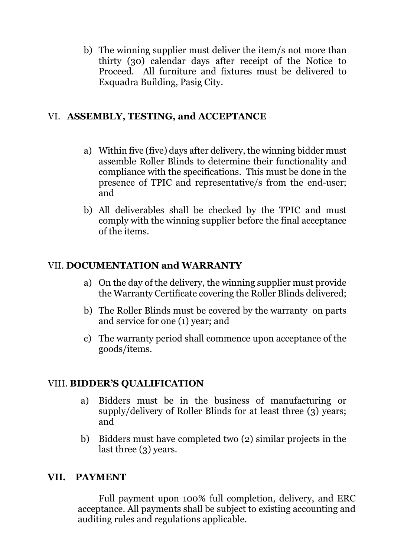b) The winning supplier must deliver the item/s not more than thirty (30) calendar days after receipt of the Notice to Proceed. All furniture and fixtures must be delivered to Exquadra Building, Pasig City.

## VI. **ASSEMBLY, TESTING, and ACCEPTANCE**

- a) Within five (five) days after delivery, the winning bidder must assemble Roller Blinds to determine their functionality and compliance with the specifications. This must be done in the presence of TPIC and representative/s from the end-user; and
- b) All deliverables shall be checked by the TPIC and must comply with the winning supplier before the final acceptance of the items.

## VII. **DOCUMENTATION and WARRANTY**

- a) On the day of the delivery, the winning supplier must provide the Warranty Certificate covering the Roller Blinds delivered;
- b) The Roller Blinds must be covered by the warranty on parts and service for one (1) year; and
- c) The warranty period shall commence upon acceptance of the goods/items.

### VIII. **BIDDER'S QUALIFICATION**

- a) Bidders must be in the business of manufacturing or supply/delivery of Roller Blinds for at least three (3) years; and
- b) Bidders must have completed two (2) similar projects in the last three (3) years.

# **VII. PAYMENT**

Full payment upon 100% full completion, delivery, and ERC acceptance. All payments shall be subject to existing accounting and auditing rules and regulations applicable.